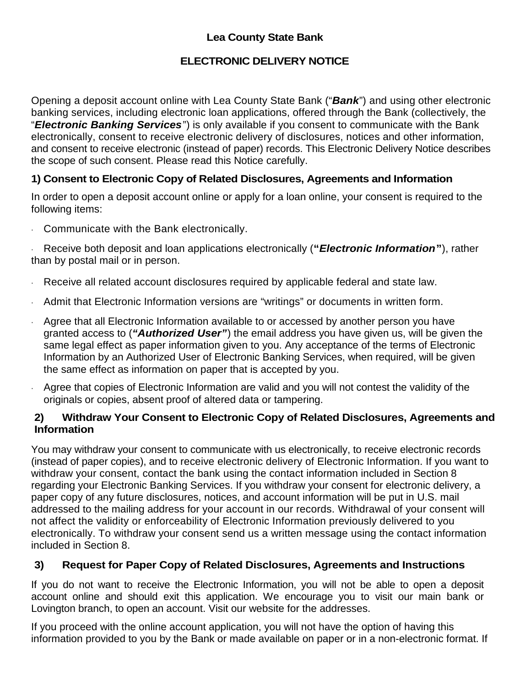## **Lea County State Bank**

## **ELECTRONIC DELIVERY NOTICE**

Opening a deposit account online with Lea County State Bank ("*Bank*") and using other electronic banking services, including electronic loan applications, offered through the Bank (collectively, the "*Electronic Banking Services*") is only available if you consent to communicate with the Bank electronically, consent to receive electronic delivery of disclosures, notices and other information, and consent to receive electronic (instead of paper) records. This Electronic Delivery Notice describes the scope of such consent. Please read this Notice carefully.

## **1) Consent to Electronic Copy of Related Disclosures, Agreements and Information**

In order to open a deposit account online or apply for a loan online, your consent is required to the following items:

· Communicate with the Bank electronically.

· Receive both deposit and loan applications electronically (**"***Electronic Information***"**), rather than by postal mail or in person.

- · Receive all related account disclosures required by applicable federal and state law.
- · Admit that Electronic Information versions are "writings" or documents in written form.
- · Agree that all Electronic Information available to or accessed by another person you have granted access to (*"Authorized User"*) the email address you have given us, will be given the same legal effect as paper information given to you. Any acceptance of the terms of Electronic Information by an Authorized User of Electronic Banking Services, when required, will be given the same effect as information on paper that is accepted by you.
- · Agree that copies of Electronic Information are valid and you will not contest the validity of the originals or copies, absent proof of altered data or tampering.

#### **2) Withdraw Your Consent to Electronic Copy of Related Disclosures, Agreements and Information**

You may withdraw your consent to communicate with us electronically, to receive electronic records (instead of paper copies), and to receive electronic delivery of Electronic Information. If you want to withdraw your consent, contact the bank using the contact information included in Section 8 regarding your Electronic Banking Services. If you withdraw your consent for electronic delivery, a paper copy of any future disclosures, notices, and account information will be put in U.S. mail addressed to the mailing address for your account in our records. Withdrawal of your consent will not affect the validity or enforceability of Electronic Information previously delivered to you electronically. To withdraw your consent send us a written message using the contact information included in Section 8.

#### **3) Request for Paper Copy of Related Disclosures, Agreements and Instructions**

If you do not want to receive the Electronic Information, you will not be able to open a deposit account online and should exit this application. We encourage you to visit our main bank or Lovington branch, to open an account. Visit our website for the addresses.

If you proceed with the online account application, you will not have the option of having this information provided to you by the Bank or made available on paper or in a non-electronic format. If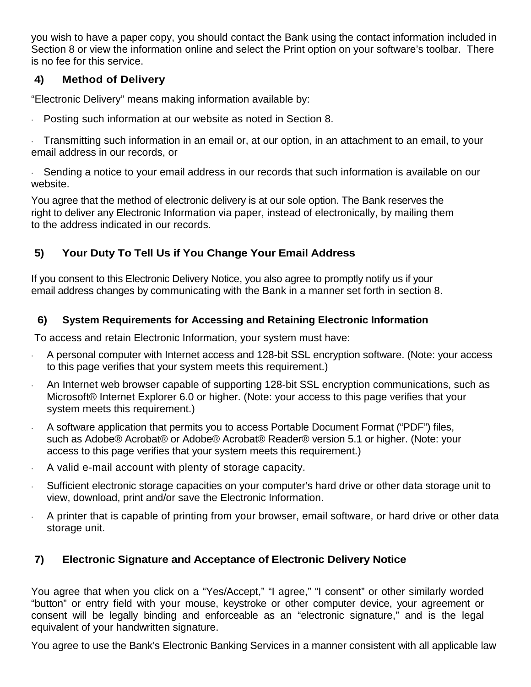you wish to have a paper copy, you should contact the Bank using the contact information included in Section 8 or view the information online and select the Print option on your software's toolbar. There is no fee for this service.

## **4) Method of Delivery**

"Electronic Delivery" means making information available by:

· Posting such information at our website as noted in Section 8.

· Transmitting such information in an email or, at our option, in an attachment to an email, to your email address in our records, or

Sending a notice to your email address in our records that such information is available on our website.

You agree that the method of electronic delivery is at our sole option. The Bank reserves the right to deliver any Electronic Information via paper, instead of electronically, by mailing them to the address indicated in our records.

# **5) Your Duty To Tell Us if You Change Your Email Address**

If you consent to this Electronic Delivery Notice, you also agree to promptly notify us if your email address changes by communicating with the Bank in a manner set forth in section 8.

## **6) System Requirements for Accessing and Retaining Electronic Information**

To access and retain Electronic Information, your system must have:

- · A personal computer with Internet access and 128-bit SSL encryption software. (Note: your access to this page verifies that your system meets this requirement.)
- An Internet web browser capable of supporting 128-bit SSL encryption communications, such as Microsoft® Internet Explorer 6.0 or higher. (Note: your access to this page verifies that your system meets this requirement.)
- · A software application that permits you to access Portable Document Format ("PDF") files, such as Adobe® Acrobat® or Adobe® Acrobat® Reader® version 5.1 or higher. (Note: your access to this page verifies that your system meets this requirement.)
- · A valid e-mail account with plenty of storage capacity.
- Sufficient electronic storage capacities on your computer's hard drive or other data storage unit to view, download, print and/or save the Electronic Information.
- · A printer that is capable of printing from your browser, email software, or hard drive or other data storage unit.

# **7) Electronic Signature and Acceptance of Electronic Delivery Notice**

You agree that when you click on a "Yes/Accept," "I agree," "I consent" or other similarly worded "button" or entry field with your mouse, keystroke or other computer device, your agreement or consent will be legally binding and enforceable as an "electronic signature," and is the legal equivalent of your handwritten signature.

You agree to use the Bank's Electronic Banking Services in a manner consistent with all applicable law